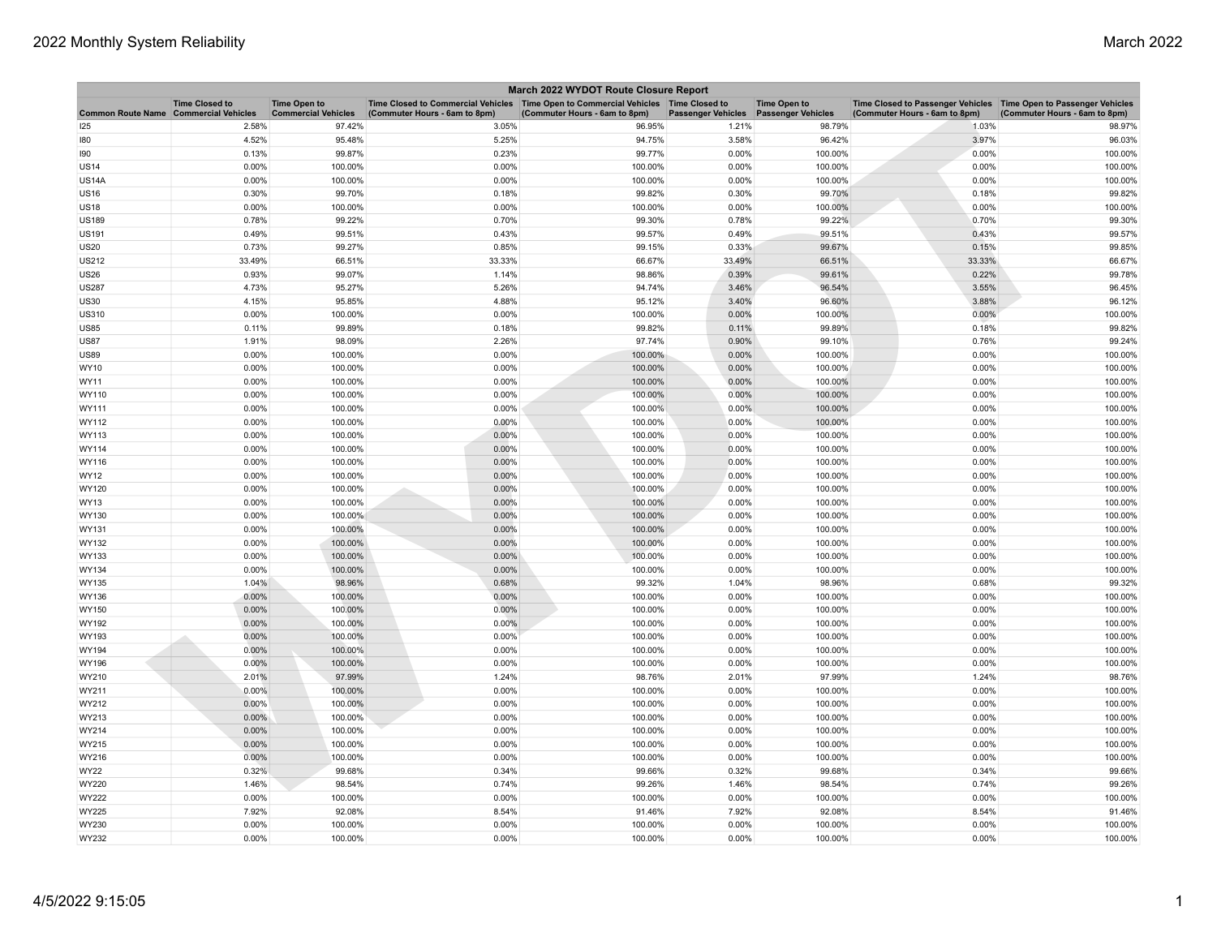| March 2022 WYDOT Route Closure Report |                                                     |                                                   |                                                                                                                         |                               |                           |                                                  |                                                                                                     |                               |  |
|---------------------------------------|-----------------------------------------------------|---------------------------------------------------|-------------------------------------------------------------------------------------------------------------------------|-------------------------------|---------------------------|--------------------------------------------------|-----------------------------------------------------------------------------------------------------|-------------------------------|--|
| <b>Common Route Name</b>              | <b>Time Closed to</b><br><b>Commercial Vehicles</b> | <b>Time Open to</b><br><b>Commercial Vehicles</b> | Time Closed to Commercial Vehicles   Time Open to Commercial Vehicles   Time Closed to<br>(Commuter Hours - 6am to 8pm) | (Commuter Hours - 6am to 8pm) | <b>Passenger Vehicles</b> | <b>Time Open to</b><br><b>Passenger Vehicles</b> | Time Closed to Passenger Vehicles  Time Open to Passenger Vehicles<br>(Commuter Hours - 6am to 8pm) | (Commuter Hours - 6am to 8pm) |  |
| 125                                   | 2.58%                                               | 97.42%                                            | 3.05%                                                                                                                   | 96.95%                        | 1.21%                     | 98.79%                                           | 1.03%                                                                                               | 98.97%                        |  |
| 180                                   | 4.52%                                               | 95.48%                                            | 5.25%                                                                                                                   | 94.75%                        | 3.58%                     | 96.42%                                           | 3.97%                                                                                               | 96.03%                        |  |
| 190                                   | 0.13%                                               | 99.87%                                            | 0.23%                                                                                                                   | 99.77%                        | 0.00%                     | 100.00%                                          | 0.00%                                                                                               | 100.00%                       |  |
| <b>US14</b>                           | 0.00%                                               | 100.00%                                           | 0.00%                                                                                                                   | 100.00%                       | 0.00%                     | 100.00%                                          | 0.00%                                                                                               | 100.00%                       |  |
| <b>US14A</b>                          | 0.00%                                               | 100.00%                                           | 0.00%                                                                                                                   | 100.00%                       | 0.00%                     | 100.00%                                          | 0.00%                                                                                               | 100.00%                       |  |
| <b>US16</b>                           | 0.30%                                               | 99.70%                                            | 0.18%                                                                                                                   | 99.82%                        | 0.30%                     | 99.70%                                           | 0.18%                                                                                               | 99.82%                        |  |
| <b>US18</b>                           | 0.00%                                               | 100.00%                                           | 0.00%                                                                                                                   | 100.00%                       | 0.00%                     | 100.00%                                          | 0.00%                                                                                               | 100.00%                       |  |
| <b>US189</b>                          | 0.78%                                               | 99.22%                                            | 0.70%                                                                                                                   | 99.30%                        | 0.78%                     | 99.22%                                           | 0.70%                                                                                               | 99.30%                        |  |
| <b>US191</b>                          | 0.49%                                               | 99.51%                                            | 0.43%                                                                                                                   | 99.57%                        | 0.49%                     | 99.51%                                           | 0.43%                                                                                               | 99.57%                        |  |
| <b>US20</b>                           | 0.73%                                               | 99.27%                                            | 0.85%                                                                                                                   | 99.15%                        | 0.33%                     | 99.67%                                           | 0.15%                                                                                               | 99.85%                        |  |
| <b>US212</b>                          | 33.49%                                              | 66.51%                                            | 33.33%                                                                                                                  | 66.67%                        | 33.49%                    | 66.51%                                           | 33.33%                                                                                              | 66.67%                        |  |
| <b>US26</b>                           | 0.93%                                               | 99.07%                                            | 1.14%                                                                                                                   | 98.86%                        | 0.39%                     | 99.61%                                           | 0.22%                                                                                               | 99.78%                        |  |
| <b>US287</b>                          | 4.73%                                               | 95.27%                                            | 5.26%                                                                                                                   | 94.74%                        | 3.46%                     | 96.54%                                           | 3.55%                                                                                               | 96.45%                        |  |
| <b>US30</b>                           | 4.15%                                               | 95.85%                                            | 4.88%                                                                                                                   | 95.12%                        | 3.40%                     | 96.60%                                           | 3.88%                                                                                               | 96.12%                        |  |
| <b>US310</b>                          | 0.00%                                               | 100.00%                                           | 0.00%                                                                                                                   | 100.00%                       | 0.00%                     | 100.00%                                          | 0.00%                                                                                               | 100.00%                       |  |
| <b>US85</b>                           | 0.11%                                               | 99.89%                                            | 0.18%                                                                                                                   | 99.82%                        | 0.11%                     | 99.89%                                           | 0.18%                                                                                               | 99.82%                        |  |
| <b>US87</b>                           | 1.91%                                               | 98.09%                                            | 2.26%                                                                                                                   | 97.74%                        | 0.90%                     | 99.10%                                           | 0.76%                                                                                               | 99.24%                        |  |
| <b>US89</b>                           | $0.00\%$                                            | 100.00%                                           | 0.00%                                                                                                                   | 100.00%                       | 0.00%                     | 100.00%                                          | 0.00%                                                                                               | 100.00%                       |  |
| WY10                                  | 0.00%                                               | 100.00%                                           | 0.00%                                                                                                                   | 100.00%                       | 0.00%                     | 100.00%                                          | 0.00%                                                                                               | 100.00%                       |  |
| <b>WY11</b>                           | 0.00%                                               | 100.00%                                           | 0.00%                                                                                                                   | 100.00%                       | 0.00%                     | 100.00%                                          | 0.00%                                                                                               | 100.00%                       |  |
| WY110                                 | 0.00%                                               | 100.00%                                           | 0.00%                                                                                                                   | 100.00%                       | 0.00%                     | 100.00%                                          | 0.00%                                                                                               | 100.00%                       |  |
| WY111                                 | 0.00%                                               | 100.00%                                           | 0.00%                                                                                                                   | 100.00%                       | 0.00%                     | 100.00%                                          | 0.00%                                                                                               | 100.00%                       |  |
| WY112                                 | $0.00\%$                                            | 100.00%                                           | 0.00%                                                                                                                   | 100.00%                       | 0.00%                     | 100.00%                                          | 0.00%                                                                                               | 100.00%                       |  |
| WY113                                 | 0.00%                                               | 100.00%                                           | 0.00%                                                                                                                   | 100.00%                       | 0.00%                     | 100.00%                                          | 0.00%                                                                                               | 100.00%                       |  |
| WY114                                 | 0.00%                                               | 100.00%                                           | 0.00%                                                                                                                   | 100.00%                       | 0.00%                     | 100.00%                                          | 0.00%                                                                                               | 100.00%                       |  |
| WY116                                 | 0.00%                                               | 100.00%                                           | 0.00%                                                                                                                   | 100.00%                       | 0.00%                     | 100.00%                                          | 0.00%                                                                                               | 100.00%                       |  |
| <b>WY12</b>                           | 0.00%                                               | 100.00%                                           | 0.00%                                                                                                                   | 100.00%                       | 0.00%                     | 100.00%                                          | 0.00%                                                                                               | 100.00%                       |  |
| WY120                                 | 0.00%                                               | 100.00%                                           | 0.00%                                                                                                                   | 100.00%                       | 0.00%                     | 100.00%                                          | 0.00%                                                                                               | 100.00%                       |  |
| <b>WY13</b>                           | 0.00%                                               | 100.00%                                           | 0.00%                                                                                                                   | 100.00%                       | 0.00%                     | 100.00%                                          | 0.00%                                                                                               | 100.00%                       |  |
| WY130                                 | 0.00%                                               | 100.00%                                           | 0.00%                                                                                                                   | 100.00%                       | 0.00%                     | 100.00%                                          | 0.00%                                                                                               | 100.00%                       |  |
| WY131                                 | 0.00%                                               | 100.00%                                           | 0.00%                                                                                                                   | 100.00%                       | 0.00%                     | 100.00%                                          | 0.00%                                                                                               | 100.00%                       |  |
| WY132                                 | 0.00%                                               | 100.00%                                           | 0.00%                                                                                                                   | 100.00%                       | 0.00%                     | 100.00%                                          | 0.00%                                                                                               | 100.00%                       |  |
| WY133                                 | 0.00%                                               | 100.00%                                           | 0.00%                                                                                                                   | 100.00%                       | 0.00%                     | 100.00%                                          | 0.00%                                                                                               | 100.00%                       |  |
| WY134                                 | 0.00%                                               | 100.00%                                           | 0.00%                                                                                                                   | 100.00%                       | 0.00%                     | 100.00%                                          | 0.00%                                                                                               | 100.00%                       |  |
| WY135                                 | 1.04%                                               | 98.96%                                            | 0.68%                                                                                                                   | 99.32%                        | 1.04%                     | 98.96%                                           | 0.68%                                                                                               | 99.32%                        |  |
| WY136                                 | 0.00%                                               | 100.00%                                           | 0.00%                                                                                                                   | 100.00%                       | 0.00%                     | 100.00%                                          | 0.00%                                                                                               | 100.00%                       |  |
| WY150                                 | $0.00\%$                                            | 100.00%                                           | 0.00%                                                                                                                   | 100.00%                       | 0.00%                     | 100.00%                                          | 0.00%                                                                                               | 100.00%                       |  |
| WY192                                 | 0.00%                                               | 100.00%                                           | 0.00%                                                                                                                   | 100.00%                       | 0.00%                     | 100.00%                                          | 0.00%                                                                                               | 100.00%                       |  |
| WY193                                 | 0.00%                                               | 100.00%                                           | 0.00%                                                                                                                   | 100.00%                       | 0.00%                     | 100.00%                                          | 0.00%                                                                                               | 100.00%                       |  |
| WY194                                 | 0.00%                                               | 100.00%                                           | 0.00%                                                                                                                   | 100.00%                       | 0.00%                     | 100.00%                                          | 0.00%                                                                                               | 100.00%                       |  |
| WY196                                 | 0.00%                                               | 100.00%                                           | 0.00%                                                                                                                   | 100.00%                       | 0.00%                     | 100.00%                                          | 0.00%                                                                                               | 100.00%                       |  |
| WY210                                 | 2.01%                                               | 97.99%                                            | 1.24%                                                                                                                   | 98.76%                        | 2.01%                     | 97.99%                                           | 1.24%                                                                                               | 98.76%                        |  |
| WY211                                 | $0.00\%$                                            | 100.00%                                           | 0.00%                                                                                                                   | 100.00%                       | 0.00%                     | 100.00%                                          | 0.00%                                                                                               | 100.00%                       |  |
| WY212                                 | 0.00%                                               | 100.00%                                           | 0.00%                                                                                                                   | 100.00%                       | 0.00%                     | 100.00%                                          | 0.00%                                                                                               | 100.00%                       |  |
| WY213                                 | $0.00\%$                                            | 100.00%                                           | 0.00%                                                                                                                   | 100.00%                       | 0.00%                     | 100.00%                                          | 0.00%                                                                                               | 100.00%                       |  |
| WY214                                 | 0.00%                                               | 100.00%                                           | 0.00%                                                                                                                   | 100.00%                       | 0.00%                     | 100.00%                                          | 0.00%                                                                                               | 100.00%                       |  |
| WY215                                 | 0.00%                                               | 100.00%                                           | 0.00%                                                                                                                   | 100.00%                       | 0.00%                     | 100.00%                                          | 0.00%                                                                                               | 100.00%                       |  |
| WY216                                 | 0.00%                                               | 100.00%                                           | 0.00%                                                                                                                   | 100.00%                       | 0.00%                     | 100.00%                                          | 0.00%                                                                                               | 100.00%                       |  |
| <b>WY22</b>                           | 0.32%                                               | 99.68%                                            | 0.34%                                                                                                                   | 99.66%                        | 0.32%                     | 99.68%                                           | 0.34%                                                                                               | 99.66%                        |  |
| WY220                                 | 1.46%                                               | 98.54%                                            | 0.74%                                                                                                                   | 99.26%                        | 1.46%                     | 98.54%                                           | 0.74%                                                                                               | 99.26%                        |  |
| <b>WY222</b>                          | 0.00%                                               | 100.00%                                           | 0.00%                                                                                                                   | 100.00%                       | 0.00%                     | 100.00%                                          | 0.00%                                                                                               | 100.00%                       |  |
| <b>WY225</b>                          | 7.92%                                               | 92.08%                                            | 8.54%                                                                                                                   | 91.46%                        | 7.92%                     | 92.08%                                           | 8.54%                                                                                               | 91.46%                        |  |
| WY230                                 | 0.00%                                               | 100.00%                                           | 0.00%                                                                                                                   | 100.00%                       | 0.00%                     | 100.00%                                          | 0.00%                                                                                               | 100.00%                       |  |
| WY232                                 | 0.00%                                               | 100.00%                                           | 0.00%                                                                                                                   | 100.00%                       | 0.00%                     | 100.00%                                          | 0.00%                                                                                               | 100.00%                       |  |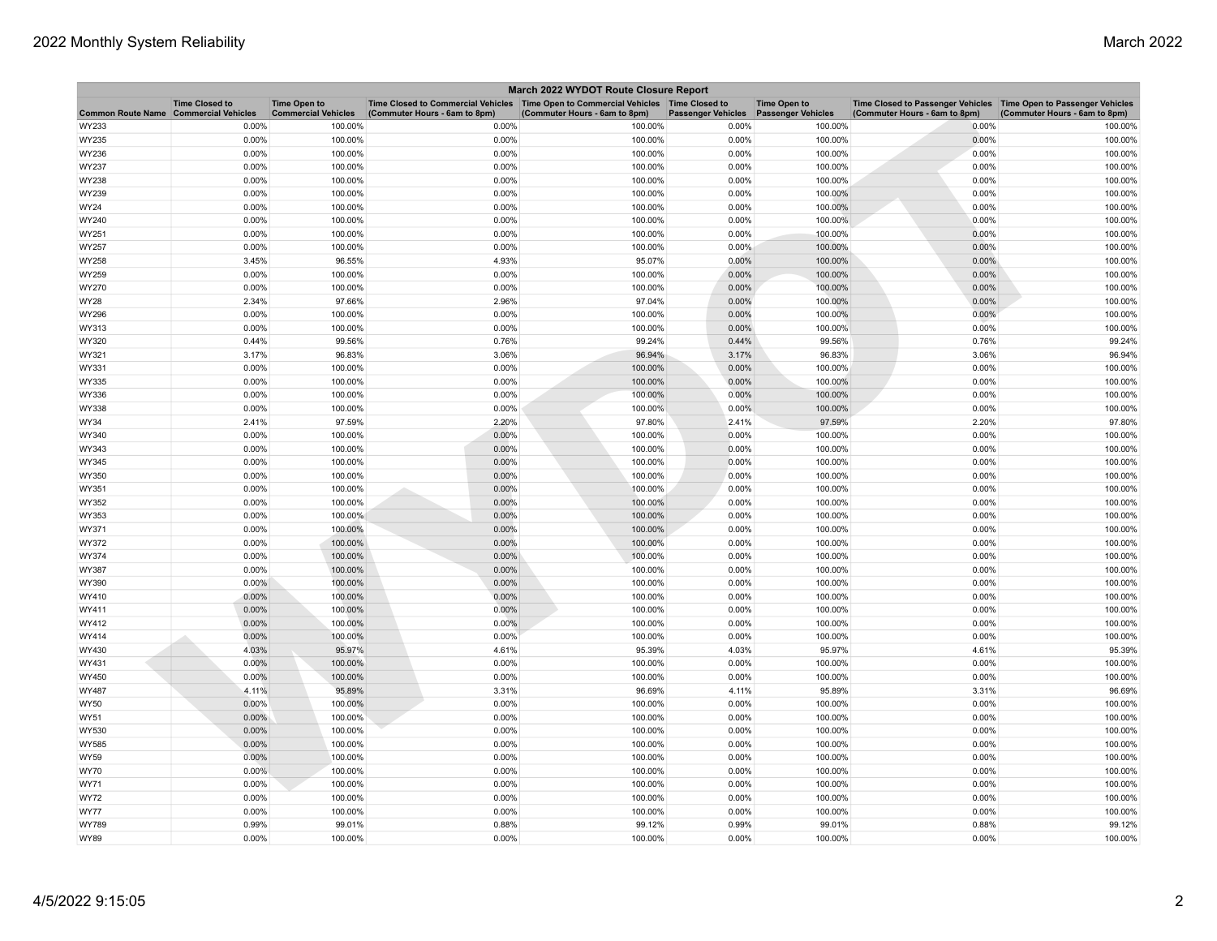| March 2022 WYDOT Route Closure Report |                                                     |                                                   |                                                                                                                         |                               |                           |                                                  |                                                                                                     |                               |  |
|---------------------------------------|-----------------------------------------------------|---------------------------------------------------|-------------------------------------------------------------------------------------------------------------------------|-------------------------------|---------------------------|--------------------------------------------------|-----------------------------------------------------------------------------------------------------|-------------------------------|--|
| <b>Common Route Name</b>              | <b>Time Closed to</b><br><b>Commercial Vehicles</b> | <b>Time Open to</b><br><b>Commercial Vehicles</b> | Time Closed to Commercial Vehicles   Time Open to Commercial Vehicles   Time Closed to<br>(Commuter Hours - 6am to 8pm) | (Commuter Hours - 6am to 8pm) | <b>Passenger Vehicles</b> | <b>Time Open to</b><br><b>Passenger Vehicles</b> | Time Closed to Passenger Vehicles  Time Open to Passenger Vehicles<br>(Commuter Hours - 6am to 8pm) | (Commuter Hours - 6am to 8pm) |  |
| WY233                                 | 0.00%                                               | 100.00%                                           | 0.00%                                                                                                                   | 100.00%                       | 0.00%                     | 100.00%                                          | 0.00%                                                                                               | 100.00%                       |  |
| WY235                                 | 0.00%                                               | 100.00%                                           | 0.00%                                                                                                                   | 100.00%                       | 0.00%                     | 100.00%                                          | 0.00%                                                                                               | 100.00%                       |  |
| WY236                                 | 0.00%                                               | 100.00%                                           | 0.00%                                                                                                                   | 100.00%                       | 0.00%                     | 100.00%                                          | 0.00%                                                                                               | 100.00%                       |  |
| WY237                                 | 0.00%                                               | 100.00%                                           | 0.00%                                                                                                                   | 100.00%                       | 0.00%                     | 100.00%                                          | 0.00%                                                                                               | 100.00%                       |  |
| WY238                                 | 0.00%                                               | 100.00%                                           | 0.00%                                                                                                                   | 100.00%                       | 0.00%                     | 100.00%                                          | 0.00%                                                                                               | 100.00%                       |  |
| WY239                                 | 0.00%                                               | 100.00%                                           | 0.00%                                                                                                                   | 100.00%                       | 0.00%                     | 100.00%                                          | 0.00%                                                                                               | 100.00%                       |  |
| <b>WY24</b>                           | 0.00%                                               | 100.00%                                           | 0.00%                                                                                                                   | 100.00%                       | 0.00%                     | 100.00%                                          | 0.00%                                                                                               | 100.00%                       |  |
| WY240                                 | 0.00%                                               | 100.00%                                           | 0.00%                                                                                                                   | 100.00%                       | 0.00%                     | 100.00%                                          | 0.00%                                                                                               | 100.00%                       |  |
| WY251                                 | 0.00%                                               | 100.00%                                           | 0.00%                                                                                                                   | 100.00%                       | 0.00%                     | 100.00%                                          | 0.00%                                                                                               | 100.00%                       |  |
| WY257                                 | 0.00%                                               | 100.00%                                           | 0.00%                                                                                                                   | 100.00%                       | 0.00%                     | 100.00%                                          | 0.00%                                                                                               | 100.00%                       |  |
| <b>WY258</b>                          | 3.45%                                               | 96.55%                                            | 4.93%                                                                                                                   | 95.07%                        | 0.00%                     | 100.00%                                          | 0.00%                                                                                               | 100.00%                       |  |
| WY259                                 | 0.00%                                               | 100.00%                                           | 0.00%                                                                                                                   | 100.00%                       | 0.00%                     | 100.00%                                          | 0.00%                                                                                               | 100.00%                       |  |
| WY270                                 | 0.00%                                               | 100.00%                                           | 0.00%                                                                                                                   | 100.00%                       | 0.00%                     | 100.00%                                          | 0.00%                                                                                               | 100.00%                       |  |
| <b>WY28</b>                           | 2.34%                                               | 97.66%                                            | 2.96%                                                                                                                   | 97.04%                        | 0.00%                     | 100.00%                                          | 0.00%                                                                                               | 100.00%                       |  |
| WY296                                 | 0.00%                                               | 100.00%                                           | 0.00%                                                                                                                   | 100.00%                       | 0.00%                     | 100.00%                                          | 0.00%                                                                                               | 100.00%                       |  |
| WY313                                 | 0.00%                                               | 100.00%                                           | 0.00%                                                                                                                   | 100.00%                       | 0.00%                     | 100.00%                                          | 0.00%                                                                                               | 100.00%                       |  |
| WY320                                 | 0.44%                                               | 99.56%                                            | 0.76%                                                                                                                   | 99.24%                        | 0.44%                     | 99.56%                                           | 0.76%                                                                                               | 99.24%                        |  |
| WY321                                 | 3.17%                                               | 96.83%                                            | 3.06%                                                                                                                   | 96.94%                        | 3.17%                     | 96.83%                                           | 3.06%                                                                                               | 96.94%                        |  |
| WY331                                 | 0.00%                                               | 100.00%                                           | 0.00%                                                                                                                   | 100.00%                       | 0.00%                     | 100.00%                                          | 0.00%                                                                                               | 100.00%                       |  |
| WY335                                 | 0.00%                                               | 100.00%                                           | 0.00%                                                                                                                   | 100.00%                       | 0.00%                     | 100.00%                                          | 0.00%                                                                                               | 100.00%                       |  |
| WY336                                 | 0.00%                                               | 100.00%                                           | 0.00%                                                                                                                   | 100.00%                       | 0.00%                     | 100.00%                                          | 0.00%                                                                                               | 100.00%                       |  |
| WY338                                 | 0.00%                                               | 100.00%                                           | 0.00%                                                                                                                   | 100.00%                       | 0.00%                     | 100.00%                                          | 0.00%                                                                                               | 100.00%                       |  |
| <b>WY34</b>                           | 2.41%                                               | 97.59%                                            | 2.20%                                                                                                                   | 97.80%                        | 2.41%                     | 97.59%                                           | 2.20%                                                                                               | 97.80%                        |  |
| WY340                                 | 0.00%                                               | 100.00%                                           | 0.00%                                                                                                                   | 100.00%                       | 0.00%                     | 100.00%                                          | 0.00%                                                                                               | 100.00%                       |  |
| WY343                                 | 0.00%                                               | 100.00%                                           | 0.00%                                                                                                                   | 100.00%                       | 0.00%                     | 100.00%                                          | 0.00%                                                                                               | 100.00%                       |  |
| WY345                                 | 0.00%                                               | 100.00%                                           | 0.00%                                                                                                                   | 100.00%                       | 0.00%                     | 100.00%                                          | 0.00%                                                                                               | 100.00%                       |  |
| WY350                                 | 0.00%                                               | 100.00%                                           | 0.00%                                                                                                                   | 100.00%                       | 0.00%                     | 100.00%                                          | 0.00%                                                                                               | 100.00%                       |  |
| WY351                                 | 0.00%                                               | 100.00%                                           | 0.00%                                                                                                                   | 100.00%                       | 0.00%                     | 100.00%                                          | 0.00%                                                                                               | 100.00%                       |  |
| WY352                                 | 0.00%                                               | 100.00%                                           | 0.00%                                                                                                                   | 100.00%                       | 0.00%                     | 100.00%                                          | 0.00%                                                                                               | 100.00%                       |  |
| WY353                                 | 0.00%                                               | 100.00%                                           | 0.00%                                                                                                                   | 100.00%                       | 0.00%                     | 100.00%                                          | 0.00%                                                                                               | 100.00%                       |  |
| WY371                                 | 0.00%                                               | 100.00%                                           | 0.00%                                                                                                                   | 100.00%                       | 0.00%                     | 100.00%                                          | 0.00%                                                                                               | 100.00%                       |  |
| WY372                                 | 0.00%                                               | 100.00%                                           | 0.00%                                                                                                                   | 100.00%                       | 0.00%                     | 100.00%                                          | 0.00%                                                                                               | 100.00%                       |  |
| WY374                                 | 0.00%                                               | 100.00%                                           | 0.00%                                                                                                                   | 100.00%                       | 0.00%                     | 100.00%                                          | 0.00%                                                                                               | 100.00%                       |  |
| WY387                                 | 0.00%                                               | 100.00%                                           | 0.00%                                                                                                                   | 100.00%                       | 0.00%                     | 100.00%                                          | 0.00%                                                                                               | 100.00%                       |  |
| WY390                                 | $0.00\%$                                            | 100.00%                                           | 0.00%                                                                                                                   | 100.00%                       | 0.00%                     | 100.00%                                          | 0.00%                                                                                               | 100.00%                       |  |
| WY410                                 | 0.00%                                               | 100.00%                                           | 0.00%                                                                                                                   | 100.00%                       | 0.00%                     | 100.00%                                          | 0.00%                                                                                               | 100.00%                       |  |
| WY411                                 | 0.00%                                               | 100.00%                                           | 0.00%                                                                                                                   | 100.00%                       | 0.00%                     | 100.00%                                          | 0.00%                                                                                               | 100.00%                       |  |
| WY412                                 | 0.00%                                               | 100.00%                                           | 0.00%                                                                                                                   | 100.00%                       | 0.00%                     | 100.00%                                          | 0.00%                                                                                               | 100.00%                       |  |
| WY414                                 | $0.00\%$                                            | 100.00%                                           | 0.00%                                                                                                                   | 100.00%                       | 0.00%                     | 100.00%                                          | 0.00%                                                                                               | 100.00%                       |  |
| WY430                                 | 4.03%                                               | 95.97%                                            | 4.61%                                                                                                                   | 95.39%                        | 4.03%                     | 95.97%                                           | 4.61%                                                                                               | 95.39%                        |  |
| WY431                                 | 0.00%                                               | 100.00%                                           | 0.00%                                                                                                                   | 100.00%                       | 0.00%                     | 100.00%                                          | 0.00%                                                                                               | 100.00%                       |  |
| WY450                                 | 0.00%                                               | 100.00%                                           | 0.00%                                                                                                                   | 100.00%                       | 0.00%                     | 100.00%                                          | 0.00%                                                                                               | 100.00%                       |  |
| WY487                                 | 4.11%                                               | 95.89%                                            | 3.31%                                                                                                                   | 96.69%                        | 4.11%                     | 95.89%                                           | 3.31%                                                                                               | 96.69%                        |  |
| <b>WY50</b>                           | 0.00%                                               | 100.00%                                           | 0.00%                                                                                                                   | 100.00%                       | 0.00%                     | 100.00%                                          | 0.00%                                                                                               | 100.00%                       |  |
| WY51                                  | $0.00\%$                                            | 100.00%                                           | 0.00%                                                                                                                   | 100.00%                       | 0.00%                     | 100.00%                                          | 0.00%                                                                                               | 100.00%                       |  |
| WY530                                 | 0.00%                                               | 100.00%                                           | 0.00%                                                                                                                   | 100.00%                       | 0.00%                     | 100.00%                                          | 0.00%                                                                                               | 100.00%                       |  |
| <b>WY585</b>                          | 0.00%                                               | 100.00%                                           | 0.00%                                                                                                                   | 100.00%                       | 0.00%                     | 100.00%                                          | 0.00%                                                                                               | 100.00%                       |  |
| <b>WY59</b>                           | 0.00%                                               | 100.00%                                           | 0.00%                                                                                                                   | 100.00%                       | 0.00%                     | 100.00%                                          | 0.00%                                                                                               | 100.00%                       |  |
| <b>WY70</b>                           | 0.00%                                               | 100.00%                                           | 0.00%                                                                                                                   | 100.00%                       | 0.00%                     | 100.00%                                          | 0.00%                                                                                               | 100.00%                       |  |
| <b>WY71</b>                           | 0.00%                                               | 100.00%                                           | 0.00%                                                                                                                   | 100.00%                       | 0.00%                     | 100.00%                                          | 0.00%                                                                                               | 100.00%                       |  |
| <b>WY72</b>                           | 0.00%                                               | 100.00%                                           | 0.00%                                                                                                                   | 100.00%                       | 0.00%                     | 100.00%                                          | 0.00%                                                                                               | 100.00%                       |  |
| <b>WY77</b>                           | 0.00%                                               | 100.00%                                           | 0.00%                                                                                                                   | 100.00%                       | 0.00%                     | 100.00%                                          | 0.00%                                                                                               | 100.00%                       |  |
| WY789                                 | 0.99%                                               | 99.01%                                            | 0.88%                                                                                                                   | 99.12%                        | 0.99%                     | 99.01%                                           | 0.88%                                                                                               | 99.12%                        |  |
| <b>WY89</b>                           | 0.00%                                               | 100.00%                                           | 0.00%                                                                                                                   | 100.00%                       | 0.00%                     | 100.00%                                          | 0.00%                                                                                               | 100.00%                       |  |